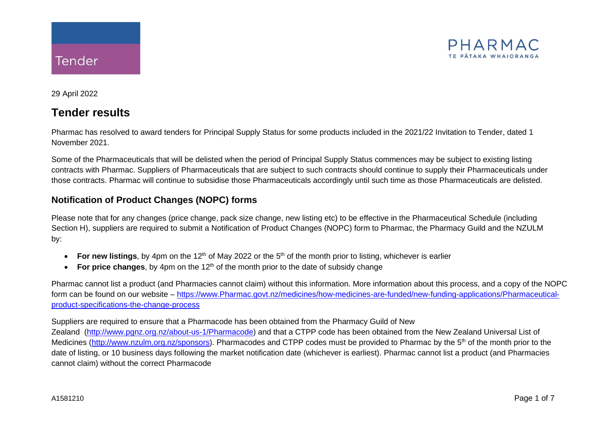

29 April 2022

# **Tender results**

Pharmac has resolved to award tenders for Principal Supply Status for some products included in the 2021/22 Invitation to Tender, dated 1 November 2021.

Some of the Pharmaceuticals that will be delisted when the period of Principal Supply Status commences may be subject to existing listing contracts with Pharmac. Suppliers of Pharmaceuticals that are subject to such contracts should continue to supply their Pharmaceuticals under those contracts. Pharmac will continue to subsidise those Pharmaceuticals accordingly until such time as those Pharmaceuticals are delisted.

## **Notification of Product Changes (NOPC) forms**

Please note that for any changes (price change, pack size change, new listing etc) to be effective in the Pharmaceutical Schedule (including Section H), suppliers are required to submit a Notification of Product Changes (NOPC) form to Pharmac, the Pharmacy Guild and the NZULM by:

- For new listings, by 4pm on the 12<sup>th</sup> of May 2022 or the 5<sup>th</sup> of the month prior to listing, whichever is earlier
- **For price changes**, by 4pm on the  $12<sup>th</sup>$  of the month prior to the date of subsidy change

Pharmac cannot list a product (and Pharmacies cannot claim) without this information. More information about this process, and a copy of the NOPC form can be found on our website – [https://www.Pharmac.govt.nz/medicines/how-medicines-are-funded/new-funding-applications/Pharmaceutical](https://www.pharmac.govt.nz/medicines/how-medicines-are-funded/new-funding-applications/pharmaceutical-product-specifications-the-change-process)[product-specifications-the-change-process](https://www.pharmac.govt.nz/medicines/how-medicines-are-funded/new-funding-applications/pharmaceutical-product-specifications-the-change-process)

#### Suppliers are required to ensure that a Pharmacode has been obtained from the Pharmacy Guild of New

Zealand [\(http://www.pgnz.org.nz/about-us-1/Pharmacode\)](http://www.pgnz.org.nz/about-us-1/pharmacode) and that a CTPP code has been obtained from the New Zealand Universal List of Medicines [\(http://www.nzulm.org.nz/sponsors\)](http://www.nzulm.org.nz/sponsors). Pharmacodes and CTPP codes must be provided to Pharmac by the 5<sup>th</sup> of the month prior to the date of listing, or 10 business days following the market notification date (whichever is earliest). Pharmac cannot list a product (and Pharmacies cannot claim) without the correct Pharmacode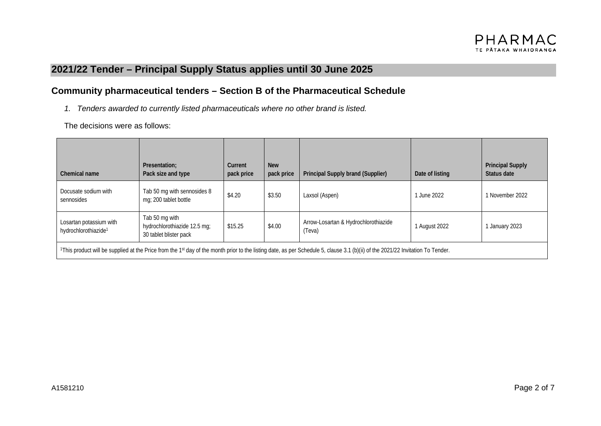# **2021/22 Tender – Principal Supply Status applies until 30 June 2025**

### **Community pharmaceutical tenders – Section B of the Pharmaceutical Schedule**

*1. Tenders awarded to currently listed pharmaceuticals where no other brand is listed.*

| Chemical name                                                                                                                                                                   | Presentation;<br>Pack size and type                                      | Current<br>pack price | <b>New</b><br>pack price | Principal Supply brand (Supplier)              | Date of listing | <b>Principal Supply</b><br>Status date |
|---------------------------------------------------------------------------------------------------------------------------------------------------------------------------------|--------------------------------------------------------------------------|-----------------------|--------------------------|------------------------------------------------|-----------------|----------------------------------------|
| Docusate sodium with<br>sennosides                                                                                                                                              | Tab 50 mg with sennosides 8<br>mg; 200 tablet bottle                     | \$4.20                | \$3.50                   | Laxsol (Aspen)                                 | June 2022       | 1 November 2022                        |
| Losartan potassium with<br>hydrochlorothiazide <sup>1</sup>                                                                                                                     | Tab 50 mg with<br>hydrochlorothiazide 12.5 mg;<br>30 tablet blister pack | \$15.25               | \$4.00                   | Arrow-Losartan & Hydrochlorothiazide<br>(Teva) | 1 August 2022   | January 2023                           |
| 1This product will be supplied at the Price from the 1st day of the month prior to the listing date, as per Schedule 5, clause 3.1 (b)(ii) of the 2021/22 Invitation To Tender. |                                                                          |                       |                          |                                                |                 |                                        |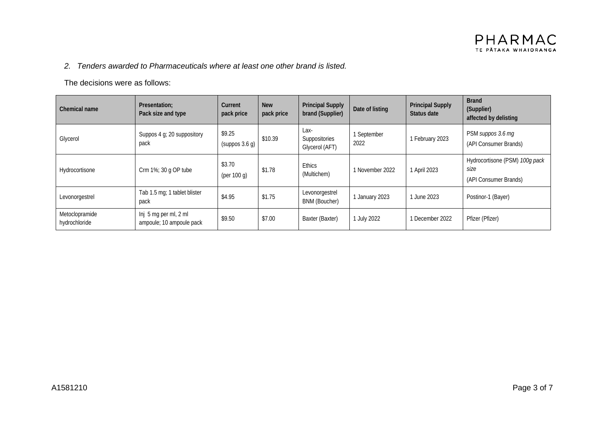#### *2. Tenders awarded to Pharmaceuticals where at least one other brand is listed.*

| Chemical name                   | Presentation:<br>Pack size and type                 | Current<br>pack price    | <b>New</b><br>pack price | <b>Principal Supply</b><br>brand (Supplier) | Date of listing   | <b>Principal Supply</b><br>Status date | <b>Brand</b><br>(Supplier)<br>affected by delisting             |
|---------------------------------|-----------------------------------------------------|--------------------------|--------------------------|---------------------------------------------|-------------------|----------------------------------------|-----------------------------------------------------------------|
| Glycerol                        | Suppos 4 g; 20 suppository<br>pack                  | \$9.25<br>(suppos 3.6 g) | \$10.39                  | Lax-<br>Suppositories<br>Glycerol (AFT)     | September<br>2022 | 1 February 2023                        | PSM suppos 3.6 mg<br>(API Consumer Brands)                      |
| Hydrocortisone                  | Crm 1%; 30 g OP tube                                | \$3.70<br>(per 100 $q$ ) | \$1.78                   | <b>Ethics</b><br>(Multichem)                | 1 November 2022   | 1 April 2023                           | Hydrocortisone (PSM) 100g pack<br>size<br>(API Consumer Brands) |
| Levonorgestrel                  | Tab 1.5 mg; 1 tablet blister<br>pack                | \$4.95                   | \$1.75                   | Levonorgestrel<br><b>BNM (Boucher)</b>      | January 2023      | June 2023                              | Postinor-1 (Bayer)                                              |
| Metoclopramide<br>hydrochloride | $Inj$ 5 mg per ml, 2 ml<br>ampoule; 10 ampoule pack | \$9.50                   | \$7.00                   | Baxter (Baxter)                             | July 2022         | 1 December 2022                        | Pfizer (Pfizer)                                                 |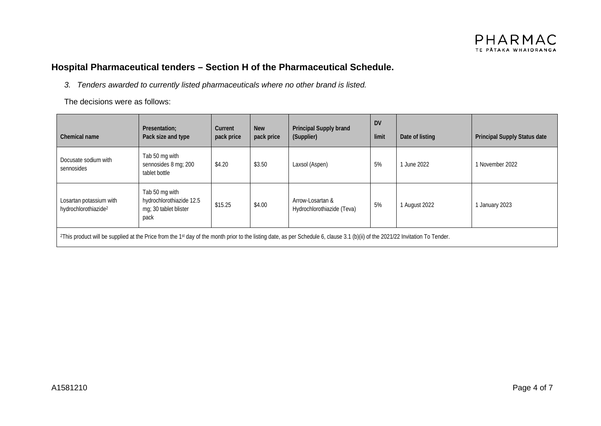

## **Hospital Pharmaceutical tenders – Section H of the Pharmaceutical Schedule.**

*3. Tenders awarded to currently listed pharmaceuticals where no other brand is listed.*

| Chemical name                                                                                                                                                                                           | Presentation;<br>Pack size and type                                         | Current<br>pack price | <b>New</b><br>pack price | Principal Supply brand<br>(Supplier)           | <b>DV</b><br>limit | Date of listing | Principal Supply Status date |
|---------------------------------------------------------------------------------------------------------------------------------------------------------------------------------------------------------|-----------------------------------------------------------------------------|-----------------------|--------------------------|------------------------------------------------|--------------------|-----------------|------------------------------|
| Docusate sodium with<br>sennosides                                                                                                                                                                      | Tab 50 mg with<br>sennosides 8 mg; 200<br>tablet bottle                     | \$4.20                | \$3.50                   | Laxsol (Aspen)                                 | 5%                 | 1 June 2022     | 1 November 2022              |
| Losartan potassium with<br>hydrochlorothiazide <sup>2</sup>                                                                                                                                             | Tab 50 mg with<br>hydrochlorothiazide 12.5<br>mg; 30 tablet blister<br>pack | \$15.25               | \$4.00                   | Arrow-Losartan &<br>Hydrochlorothiazide (Teva) | 5%                 | 1 August 2022   | January 2023                 |
| <sup>2</sup> This product will be supplied at the Price from the 1 <sup>st</sup> day of the month prior to the listing date, as per Schedule 6, clause 3.1 (b)(ii) of the 2021/22 Invitation To Tender. |                                                                             |                       |                          |                                                |                    |                 |                              |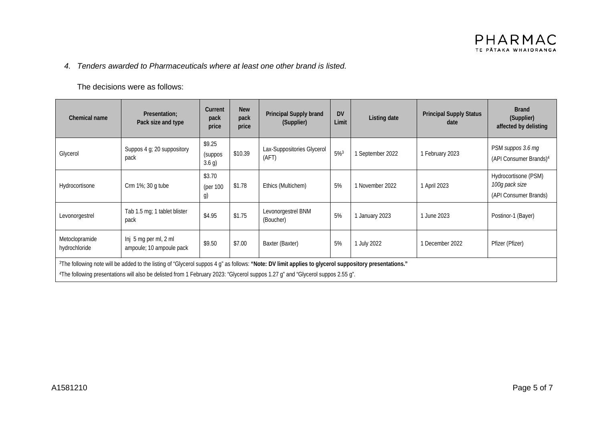#### *4. Tenders awarded to Pharmaceuticals where at least one other brand is listed.*

| Chemical name                                                                                                                                                                                                                                                                                        | Presentation:<br>Pack size and type               | Current<br>pack<br>price    | <b>New</b><br>pack<br>price | Principal Supply brand<br>(Supplier) | <b>DV</b><br>Limit | Listing date     | <b>Principal Supply Status</b><br>date | <b>Brand</b><br>(Supplier)<br>affected by delisting             |
|------------------------------------------------------------------------------------------------------------------------------------------------------------------------------------------------------------------------------------------------------------------------------------------------------|---------------------------------------------------|-----------------------------|-----------------------------|--------------------------------------|--------------------|------------------|----------------------------------------|-----------------------------------------------------------------|
| Glycerol                                                                                                                                                                                                                                                                                             | Suppos 4 g; 20 suppository<br>pack                | \$9.25<br>(suppos<br>3.6 g) | \$10.39                     | Lax-Suppositories Glycerol<br>(AFT)  | $5%^{3}$           | 1 September 2022 | 1 February 2023                        | PSM suppos 3.6 mg<br>(API Consumer Brands) <sup>4</sup>         |
| Hydrocortisone                                                                                                                                                                                                                                                                                       | Crm 1%; 30 g tube                                 | \$3.70<br>(per 100<br>g)    | \$1.78                      | Ethics (Multichem)                   | 5%                 | 1 November 2022  | 1 April 2023                           | Hydrocortisone (PSM)<br>100g pack size<br>(API Consumer Brands) |
| Levonorgestrel                                                                                                                                                                                                                                                                                       | Tab 1.5 mg; 1 tablet blister<br>pack              | \$4.95                      | \$1.75                      | Levonorgestrel BNM<br>(Boucher)      | 5%                 | 1 January 2023   | 1 June 2023                            | Postinor-1 (Bayer)                                              |
| Metoclopramide<br>hydrochloride                                                                                                                                                                                                                                                                      | Inj 5 mg per ml, 2 ml<br>ampoule; 10 ampoule pack | \$9.50                      | \$7.00                      | Baxter (Baxter)                      | 5%                 | 1 July 2022      | 1 December 2022                        | Pfizer (Pfizer)                                                 |
| <sup>3</sup> The following note will be added to the listing of "Glycerol suppos 4 g" as follows: "Note: DV limit applies to glycerol suppository presentations."<br>4The following presentations will also be delisted from 1 February 2023: "Glycerol suppos 1.27 g" and "Glycerol suppos 2.55 g". |                                                   |                             |                             |                                      |                    |                  |                                        |                                                                 |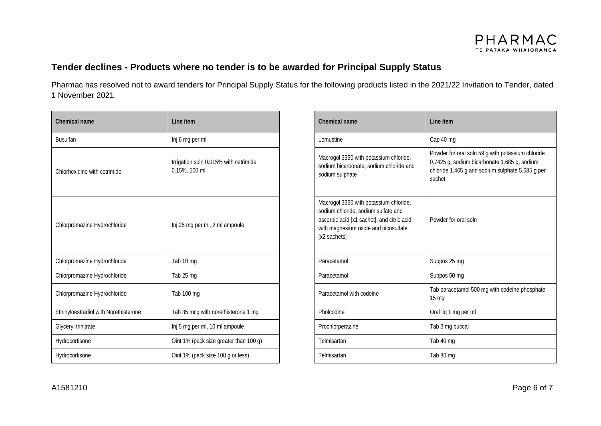### **Tender declines - Products where no tender is to be awarded for Principal Supply Status**

Pharmac has resolved not to award tenders for Principal Supply Status for the following products listed in the 2021/22 Invitation to Tender, dated 1 November 2021.

| Chemical name                         | Line item                                              |  | Chemical name                                                                                                                                                                       | Line item                                                                    |
|---------------------------------------|--------------------------------------------------------|--|-------------------------------------------------------------------------------------------------------------------------------------------------------------------------------------|------------------------------------------------------------------------------|
| <b>Busulfan</b>                       | Inj 6 mg per ml                                        |  | Lomustine                                                                                                                                                                           | Cap 40 mg                                                                    |
| Chlorhexidine with cetrimide          | Irrigation soln 0.015% with cetrimide<br>0.15%, 500 ml |  | Macrogol 3350 with potassium chloride,<br>sodium bicarbonate, sodium chloride and<br>sodium sulphate                                                                                | Powder for oral solr<br>0.7425 g, sodium bi<br>chloride 1.465 g an<br>sachet |
| Chlorpromazine Hydrochloride          | Inj 25 mg per ml, 2 ml ampoule                         |  | Macrogol 3350 with potassium chloride,<br>sodium chloride, sodium sulfate and<br>ascorbic acid [x1 sachet]; and citric acid<br>with magnesium oxide and picosulfate<br>[x2 sachets] | Powder for oral solr                                                         |
| Chlorpromazine Hydrochloride          | Tab 10 mg                                              |  | Paracetamol                                                                                                                                                                         | Suppos 25 mg                                                                 |
| Chlorpromazine Hydrochloride          | Tab 25 mg                                              |  | Paracetamol                                                                                                                                                                         | Suppos 50 mg                                                                 |
| Chlorpromazine Hydrochloride          | Tab 100 mg                                             |  | Paracetamol with codeine                                                                                                                                                            | Tab paracetamol 50<br>$15 \text{ mg}$                                        |
| Ethinyloestradiol with Norethisterone | Tab 35 mcg with norethisterone 1 mg                    |  | Pholcodine                                                                                                                                                                          | Oral liq 1 mg per ml                                                         |
| Glyceryl trinitrate                   | Inj 5 mg per ml, 10 ml ampoule                         |  | Prochlorperazine                                                                                                                                                                    | Tab 3 mg buccal                                                              |
| Hydrocortisone                        | Oint 1% (pack size greater than 100 g)                 |  | Telmisartan                                                                                                                                                                         | Tab 40 mg                                                                    |
| Hydrocortisone                        | Oint 1% (pack size 100 g or less)                      |  | Telmisartan                                                                                                                                                                         | Tab 80 mg                                                                    |

| Chemical name                         | Line item                                              | Chemical name                                                                                                                                                                       | Line item                                                                                                                                                       |
|---------------------------------------|--------------------------------------------------------|-------------------------------------------------------------------------------------------------------------------------------------------------------------------------------------|-----------------------------------------------------------------------------------------------------------------------------------------------------------------|
| <b>Busulfan</b>                       | Inj 6 mg per ml                                        | Lomustine                                                                                                                                                                           | Cap 40 mg                                                                                                                                                       |
| Chlorhexidine with cetrimide          | Irrigation soln 0.015% with cetrimide<br>0.15%, 500 ml | Macrogol 3350 with potassium chloride,<br>sodium bicarbonate, sodium chloride and<br>sodium sulphate                                                                                | Powder for oral soln 59 g with potassium chloride<br>0.7425 g, sodium bicarbonate 1.685 g, sodium<br>chloride 1.465 g and sodium sulphate 5.685 g per<br>sachet |
| Chlorpromazine Hydrochloride          | Inj 25 mg per ml, 2 ml ampoule                         | Macrogol 3350 with potassium chloride,<br>sodium chloride, sodium sulfate and<br>ascorbic acid [x1 sachet]; and citric acid<br>with magnesium oxide and picosulfate<br>[x2 sachets] | Powder for oral soln                                                                                                                                            |
| Chlorpromazine Hydrochloride          | Tab 10 mg                                              | Paracetamol                                                                                                                                                                         | Suppos 25 mg                                                                                                                                                    |
| Chlorpromazine Hydrochloride          | Tab 25 mg                                              | Paracetamol                                                                                                                                                                         | Suppos 50 mg                                                                                                                                                    |
| Chlorpromazine Hydrochloride          | Tab 100 mg                                             | Paracetamol with codeine                                                                                                                                                            | Tab paracetamol 500 mg with codeine phosphate<br>15 <sub>mg</sub>                                                                                               |
| Ethinyloestradiol with Norethisterone | Tab 35 mcg with norethisterone 1 mg                    | Pholcodine                                                                                                                                                                          | Oral liq 1 mg per ml                                                                                                                                            |
| Glyceryl trinitrate                   | Inj 5 mg per ml, 10 ml ampoule                         | Prochlorperazine                                                                                                                                                                    | Tab 3 mg buccal                                                                                                                                                 |
| Hydrocortisone                        | Oint 1% (pack size greater than 100 g)                 | Telmisartan                                                                                                                                                                         | Tab 40 mg                                                                                                                                                       |
| Hydrocortisone                        | Oint 1% (pack size 100 g or less)                      | Telmisartan                                                                                                                                                                         | Tab 80 mg                                                                                                                                                       |